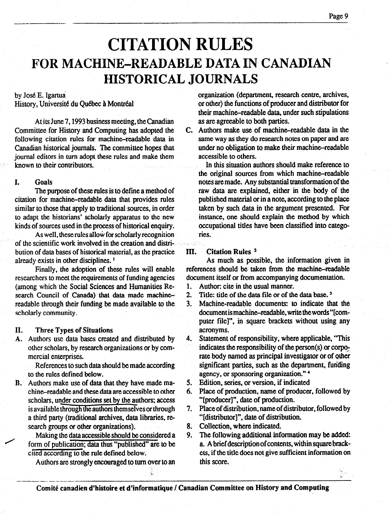# CITATION RULES FOR MACHINE-READABLE DATA IN CANADIAN HISTORICAL JOURNALS

### by José E. Igartua

-\_\_\_-\_-.

History, Université du Québec à Montréal

At its June 7,1993 business meeting, the Canadian Committee for History and Computing has adopted the following citation rules for machine-readable data in Canadian historical journals. The committee hopes that journal editors in turn adopt these rules and make them known to their contributors.

#### I. Goals

The purpose of these rules is to define a method of citation for machine-readable data that provides rules similar to those that apply to traditional sources, in order to adapt the historians' scholarly apparatus to the new kinds of sources used in the process of historical enquiry.

As well, these rules allow for scholarly recognition of the scientific work involved in the creation and distribution of data bases of historical material, as the practice already exists in other disciplines. '

Finally, the adoption of these rules will enable researchers lo meet the requirements of funding agencies (among which the Social Sciences and Humanities Re- $\alpha$  can council of Canada) that data made mathematics  $\alpha$ readable through the made available through the made available to the made available to the made available to the readable through their funding be made available to the scholarly community.

#### II. n. Three Types of Shuahons<br>Authority of the base created and distributed and distributed by the contract of the state of the state of the Three Types of Situations

Authors use data bases created and distributed by other scholars, by research organizations or by com-<br>mercial enterprises.  $R$ ercial enterprises.

 $\blacksquare$  to the rules defined below. References to such data sh

Authors make use of data that they have made ma- $\overline{\phantom{a}}$ . scholars, under conditions set by the authors; access is available through the authors themselves or through a third party (traditional archives, data libraries, research groups or other organizations).<br>Making the data accessible should be considered a

form of publication; data thus "published" are to be cited according to the rule defined below.

Authors are strongly encouraged to turn over to an

organization (department, research centre, archives, or other) the functions of producer and distributor for their machine-readable data, under such stipulations as are agreeable to both parties.

C. Authors make use of machine-readable data in the same way as they do research notes on paper and are under no obligation to make their machine-readable accessible to others.

In this situation authors should make reference to the original sources from which machine-readable notes are made. Any substantial transformation of the raw data are explained, either in the body of the published material or in a note, according to the place taken by such data in the argument presented. For instance, one should explain the method by which occupational titles have been classified into categories.

#### III. Citation Rules 2

As much as possible, the information given in references should be taken from the machine-readable document itself or from accompanying documentation.

- 1. Author: cite in the usual manner.
- 2. Title: title of the data file or of the data base.<sup>3</sup>
- 3. Machine-readable documents: to indicate that the document is machine-readable, write the words "[computer file]", in square brackets without using any acronyms.
- 4. Statement of responsibility, where applicable, "This  $\frac{1}{1000}$  indicates the responsibility, where applicable,  $\frac{1}{1000}$ rate body named as proportional increases the responsibility of the person (s) or corporate body named as principal investigator or of other significant parties, such as the department, funding agency, or sponsoring organization."<sup>4</sup>
- Edition, series, or version, if indicated
- Place of production, name of producer, followed by "[producer]", date of production,
- 7. 8. Place of distribution, name of distributor, followed by "[distributor]", date of distribution.
- 8. Collection, where indicated.
	- The following additional information may be added: a. A brief description of contents, within square brackets, if the title does not give sufficient information on<br>this score.

Comité canadien d'histoire et d'informatique / Canadian Committee on History and Computing